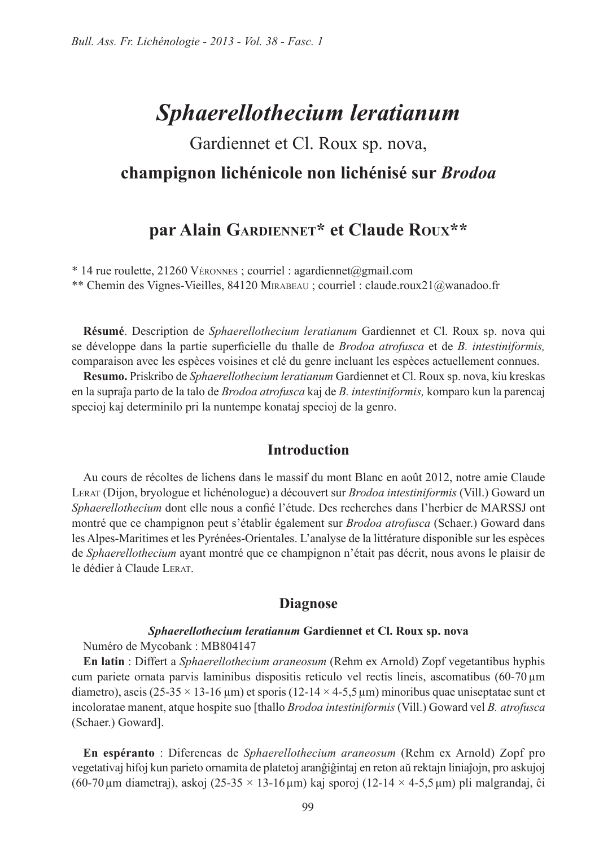# Sphaerellothecium leratianum

# Gardiennet et Cl. Roux sp. nova, champignon lichénicole non lichénisé sur Brodoa

# par Alain GARDIENNET\* et Claude ROUX\*\*

\* 14 rue roulette, 21260 VÉRONNES; courriel : agardiennet@gmail.com

\*\* Chemin des Vignes-Vieilles, 84120 MIRABEAU ; courriel : claude.roux21@wanadoo.fr

Résumé. Description de Sphaerellothecium leratianum Gardiennet et Cl. Roux sp. nova qui se développe dans la partie superficielle du thalle de Brodoa atrofusca et de B. intestiniformis, comparaison avec les espèces voisines et clé du genre incluant les espèces actuellement connues.

Resumo. Priskribo de Sphaerellothecium leratianum Gardiennet et Cl. Roux sp. nova, kiu kreskas en la supraĵa parto de la talo de *Brodoa atrofusca* kaj de B. intestiniformis, komparo kun la parencaj specioj kaj determinilo pri la nuntempe konataj specioj de la genro.

### **Introduction**

Au cours de récoltes de lichens dans le massif du mont Blanc en août 2012, notre amie Claude LERAT (Dijon, bryologue et lichénologue) a découvert sur *Brodoa intestiniformis* (Vill.) Goward un Sphaerellothecium dont elle nous a confié l'étude. Des recherches dans l'herbier de MARSSJ ont montré que ce champignon peut s'établir également sur *Brodoa atrofusca* (Schaer.) Goward dans les Alpes-Maritimes et les Pyrénées-Orientales. L'analyse de la littérature disponible sur les espèces de Sphaerellothecium ayant montré que ce champignon n'était pas décrit, nous avons le plaisir de le dédier à Claude LERAT

### **Diagnose**

#### Sphaerellothecium leratianum Gardiennet et Cl. Roux sp. nova

Numéro de Mycobank : MB804147

En latin : Differt a Sphaerellothecium araneosum (Rehm ex Arnold) Zopf vegetantibus hyphis cum pariete ornata parvis laminibus dispositis reticulo vel rectis lineis, ascomatibus (60-70 µm diametro), ascis (25-35  $\times$  13-16 µm) et sporis (12-14  $\times$  4-5,5 µm) minoribus quae uniseptatae sunt et incoloratae manent, atque hospite suo [thallo *Brodoa intestiniformis* (Vill.) Goward vel *B. atrofusca* (Schaer.) Goward].

En espéranto: Diferencas de Sphaerellothecium araneosum (Rehm ex Arnold) Zopf pro vegetativaj hifoj kun parieto ornamita de platetoj aranĝiĝintaj en reton aŭ rektajn liniaĵojn, pro askujoj  $(60-70 \,\mu m \text{ diametera})$ , askoj  $(25-35 \times 13-16 \,\mu m)$  kaj sporoj  $(12-14 \times 4-5.5 \,\mu m)$  pli malgrandaj, ĉi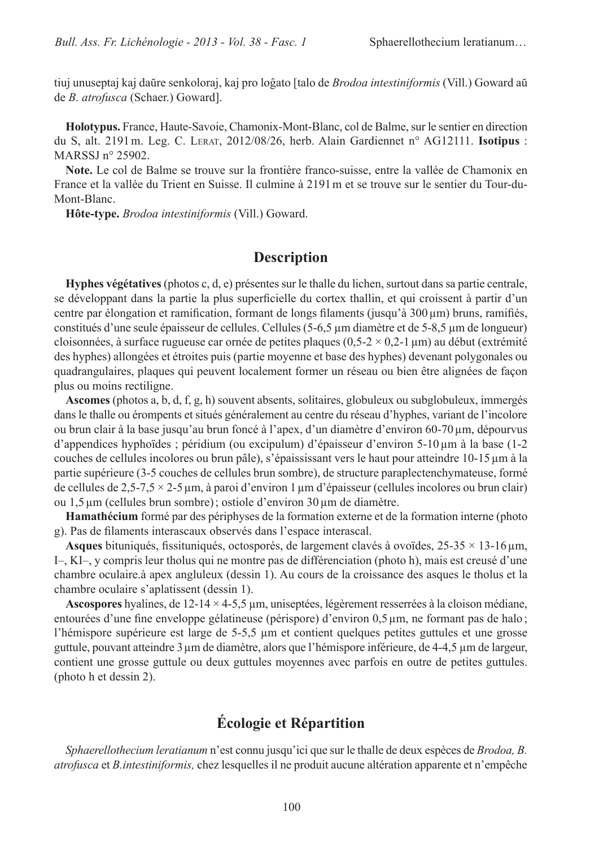tiuj unuseptaj kaj daŭre senkoloraj, kaj pro loĝato [talo de *Brodoa intestiniformis* (Vill.) Goward aŭ de B. atrofusca (Schaer.) Goward].

Holotypus. France, Haute-Savoie, Chamonix-Mont-Blanc, col de Balme, sur le sentier en direction du S. alt. 2191 m. Leg. C. LERAT, 2012/08/26, herb. Alain Gardiennet n° AG12111. Isotipus: MARSSJ  $n^{\circ}$  25902.

Note. Le col de Balme se trouve sur la frontière franco-suisse, entre la vallée de Chamonix en France et la vallée du Trient en Suisse. Il culmine à 2191 m et se trouve sur le sentier du Tour-du-Mont-Blanc.

Hôte-type. Brodoa intestiniformis (Vill.) Goward.

## **Description**

Hyphes végétatives (photos c, d, e) présentes sur le thalle du lichen, surtout dans sa partie centrale, se développant dans la partie la plus superficielle du cortex thallin, et qui croissent à partir d'un centre par élongation et ramification, formant de longs filaments (jusqu'à 300 µm) bruns, ramifiés, constitués d'une seule épaisseur de cellules. Cellules (5-6,5 µm diamètre et de 5-8,5 µm de longueur) cloisonnées, à surface rugueuse car ornée de petites plaques  $(0,5-2 \times 0,2-1 \,\mu\text{m})$  au début (extrémité des hyphes) allongées et étroites puis (partie moyenne et base des hyphes) devenant polygonales ou quadrangulaires, plaques qui peuvent localement former un réseau ou bien être alignées de façon plus ou moins rectiligne.

**Ascomes** (photos a, b, d, f, g, h) souvent absents, solitaires, globuleux ou subglobuleux, immergés dans le thalle ou érompents et situés généralement au centre du réseau d'hyphes, variant de l'incolore ou brun clair à la base jusqu'au brun foncé à l'apex, d'un diamètre d'environ 60-70 μm, dépourvus d'appendices hyphoïdes ; péridium (ou excipulum) d'épaisseur d'environ  $5-10 \mu m$  à la base (1-2 couches de cellules incolores ou brun pâle), s'épaississant vers le haut pour atteindre 10-15 µm à la partie supérieure (3-5 couches de cellules brun sombre), de structure paraplectenchymateuse, formé de cellules de 2,5-7,5  $\times$  2-5 µm, à paroi d'environ 1 µm d'épaisseur (cellules incolores ou brun clair) ou 1,5 μm (cellules brun sombre); ostiole d'environ 30 μm de diamètre.

Hamathécium formé par des périphyses de la formation externe et de la formation interne (photo g). Pas de filaments interascaux observés dans l'espace interascal.

Asques bituniqués, fissituniqués, octosporés, de largement clavés à ovoïdes,  $25-35 \times 13-16 \,\mu m$ , I-, KI-, y compris leur tholus qui ne montre pas de différenciation (photo h), mais est creusé d'une chambre oculaire à apex angluleux (dessin 1). Au cours de la croissance des asques le tholus et la chambre oculaire s'aplatissent (dessin 1).

**Ascospores** hyalines, de 12-14  $\times$  4-5,5 µm, uniseptées, légèrement resserrées à la cloison médiane, entourées d'une fine enveloppe gélatineuse (périspore) d'environ 0,5 µm, ne formant pas de halo; l'hémispore supérieure est large de 5-5,5 µm et contient quelques petites guttules et une grosse guttule, pouvant atteindre 3 µm de diamètre, alors que l'hémispore inférieure, de 4-4,5 µm de largeur, contient une grosse guttule ou deux guttules moyennes avec parfois en outre de petites guttules. (photo h et dessin 2).

# **Écologie et Répartition**

Sphaerellothecium leratianum n'est connu jusqu'ici que sur le thalle de deux espèces de Brodoa, B. *atrofusca* et *B.intestiniformis*, chez lesquelles il ne produit aucune altération apparente et n'empêche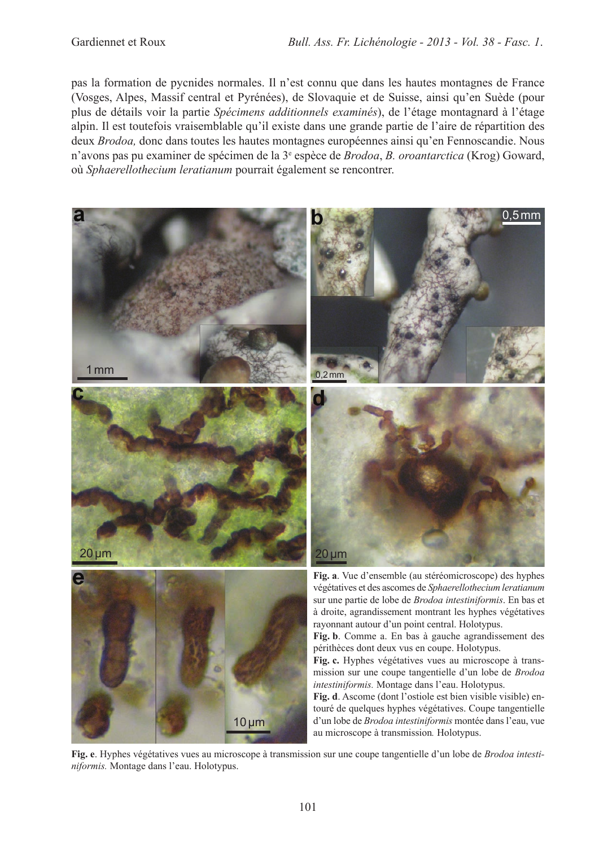pas la formation de pycnides normales. Il n'est connu que dans les hautes montagnes de France (Vosges, Alpes, Massif central et Pyrénées), de Slovaquie et de Suisse, ainsi qu'en Suède (pour plus de détails voir la partie Spécimens additionnels examinés), de l'étage montagnard à l'étage alpin. Il est toutefois vraisemblable qu'il existe dans une grande partie de l'aire de répartition des deux *Brodoa*, donc dans toutes les hautes montagnes européennes ainsi qu'en Fennoscandie. Nous n'avons pas pu examiner de spécimen de la 3<sup>e</sup> espèce de *Brodoa*, *B. oroantarctica* (Krog) Goward, où Sphaerellothecium leratianum pourrait également se rencontrer.



Fig. e. Hyphes végétatives vues au microscope à transmission sur une coupe tangentielle d'un lobe de Brodoa intestiniformis. Montage dans l'eau. Holotypus.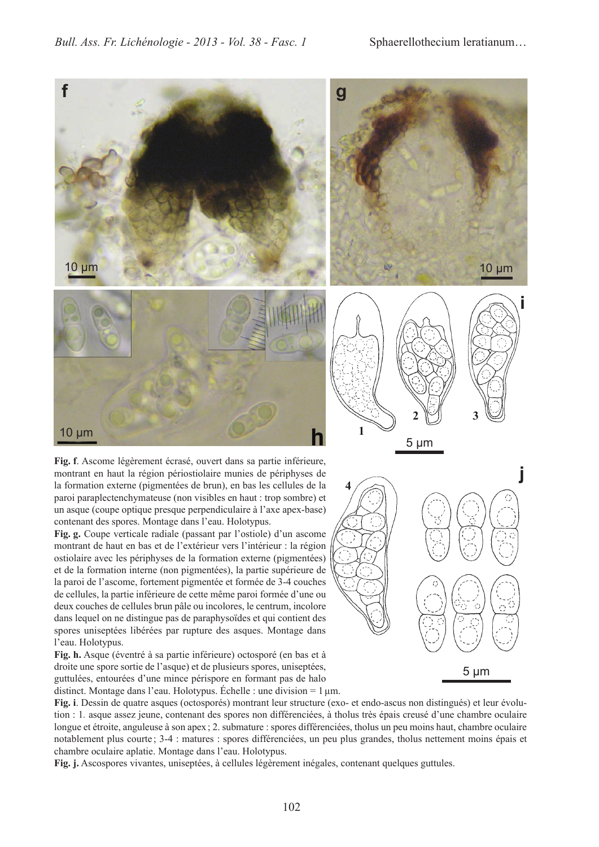

montrant en haut la région périostiolaire munies de périphyses de la formation externe (pigmentées de brun), en bas les cellules de la paroi paraplectenchymateuse (non visibles en haut : trop sombre) et un asque (coupe optique presque perpendiculaire à l'axe apex-base) contenant des spores. Montage dans l'eau. Holotypus.

Fig. g. Coupe verticale radiale (passant par l'ostiole) d'un ascome montrant de haut en bas et de l'extérieur vers l'intérieur : la région ostiolaire avec les périphyses de la formation externe (pigmentées) et de la formation interne (non pigmentées), la partie supérieure de la paroi de l'ascome, fortement pigmentée et formée de 3-4 couches de cellules, la partie inférieure de cette même paroi formée d'une ou deux couches de cellules brun pâle ou incolores, le centrum, incolore dans lequel on ne distingue pas de paraphysoïdes et qui contient des spores uniseptées libérées par rupture des asques. Montage dans l'eau. Holotypus.

Fig. h. Asque (éventré à sa partie inférieure) octosporé (en bas et à droite une spore sortie de l'asque) et de plusieurs spores, uniseptées, guttulées, entourées d'une mince périspore en formant pas de halo distinct. Montage dans l'eau. Holotypus. Échelle : une division =  $1 \mu$ m.



Fig. i. Dessin de quatre asques (octosporés) montrant leur structure (exo- et endo-ascus non distingués) et leur évolution : 1. asque assez jeune, contenant des spores non différenciées, à tholus très épais creusé d'une chambre oculaire longue et étroite, anguleuse à son apex ; 2, submature : spores différenciées, tholus un peu moins haut, chambre oculaire notablement plus courte; 3-4 : matures : spores différenciées, un peu plus grandes, tholus nettement moins épais et chambre oculaire aplatie. Montage dans l'eau. Holotypus.

Fig. j. Ascospores vivantes, uniseptées, à cellules légèrement inégales, contenant quelques guttules.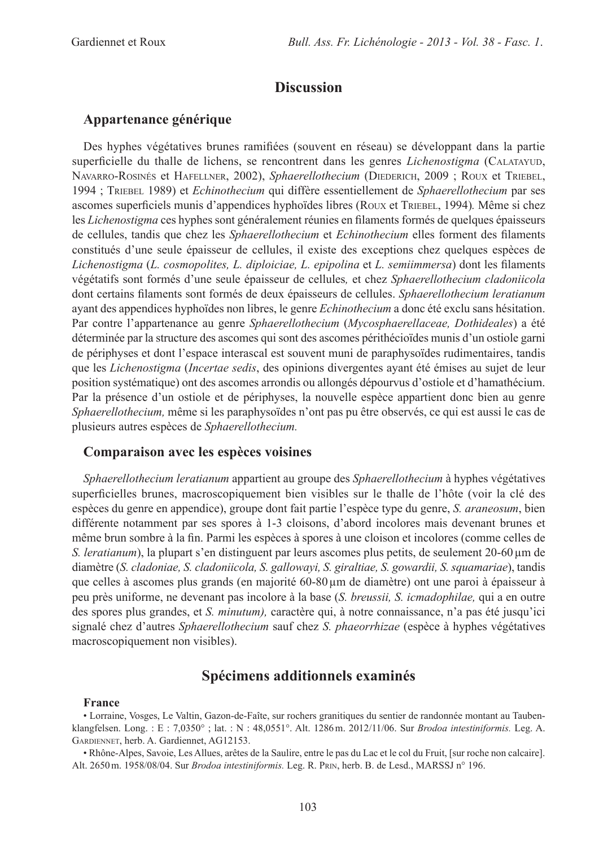# **Discussion**

### Appartenance générique

Des hyphes végétatives brunes ramifiées (souvent en réseau) se développant dans la partie superficielle du thalle de lichens, se rencontrent dans les genres *Lichenostigma* (CALATAYUD, NAVARRO-ROSINÉS et HAFELLNER, 2002), Sphaerellothecium (DIEDERICH, 2009; ROUX et TRIEBEL, 1994; TRIEBEL 1989) et Echinothecium qui diffère essentiellement de Sphaerellothecium par ses ascomes superficiels munis d'appendices hyphoïdes libres (Roux et TRIEBEL, 1994). Même si chez les *Lichenostigma* ces hyphes sont généralement réunies en filaments formés de quelques épaisseurs de cellules, tandis que chez les Sphaerellothecium et Echinothecium elles forment des filaments constitués d'une seule épaisseur de cellules, il existe des exceptions chez quelques espèces de Lichenostigma (L. cosmopolites, L. diploiciae, L. epipolina et L. semiimmersa) dont les filaments végétatifs sont formés d'une seule épaisseur de cellules, et chez Sphaerellothecium cladoniicola dont certains filaments sont formés de deux épaisseurs de cellules. Sphaerellothecium leratianum ayant des appendices hyphoïdes non libres, le genre Echinothecium a donc été exclu sans hésitation. Par contre l'appartenance au genre Sphaerellothecium (Mycosphaerellaceae, Dothideales) a été déterminée par la structure des ascomes qui sont des ascomes périthécioïdes munis d'un ostiole garni de périphyses et dont l'espace interascal est souvent muni de paraphysoïdes rudimentaires, tandis que les Lichenostigma (Incertae sedis, des opinions divergentes ayant été émises au sujet de leur position systématique) ont des ascomes arrondis ou allongés dépourvus d'ostiole et d'hamathécium. Par la présence d'un ostiole et de périphyses, la nouvelle espèce appartient donc bien au genre Sphaerellothecium, même si les paraphysoïdes n'ont pas pu être observés, ce qui est aussi le cas de plusieurs autres espèces de Sphaerellothecium.

### Comparaison avec les espèces voisines

Sphaerellothecium leratianum appartient au groupe des Sphaerellothecium à hyphes végétatives superficielles brunes, macroscopiquement bien visibles sur le thalle de l'hôte (voir la clé des espèces du genre en appendice), groupe dont fait partie l'espèce type du genre, *S. araneosum*, bien différente notamment par ses spores à 1-3 cloisons, d'abord incolores mais devenant brunes et même brun sombre à la fin. Parmi les espèces à spores à une cloison et incolores (comme celles de S. *leratianum*), la plupart s'en distinguent par leurs ascomes plus petits, de seulement 20-60  $\mu$ m de diamètre (S. cladoniae, S. cladoniicola, S. gallowayi, S. giraltiae, S. gowardii, S. squamariae), tandis que celles à ascomes plus grands (en majorité 60-80 µm de diamètre) ont une paroi à épaisseur à peu près uniforme, ne devenant pas incolore à la base (S. breussii, S. icmadophilae, qui a en outre des spores plus grandes, et S. minutum), caractère qui, à notre connaissance, n'a pas été jusqu'ici signalé chez d'autres Sphaerellothecium sauf chez S. phaeorrhizae (espèce à hyphes végétatives macroscopiquement non visibles).

# Spécimens additionnels examinés

#### **France**

• Lorraine, Vosges, Le Valtin, Gazon-de-Faîte, sur rochers granitiques du sentier de randonnée montant au Taubenklangfelsen. Long.: E: 7,0350°; lat.: N: 48,0551°. Alt. 1286 m. 2012/11/06. Sur Brodoa intestiniformis. Leg. A. GARDIENNET, herb. A. Gardiennet, AG12153.

• Rhône-Alpes, Savoie, Les Allues, arêtes de la Saulire, entre le pas du Lac et le col du Fruit, [sur roche non calcaire]. Alt. 2650 m. 1958/08/04. Sur Brodoa intestiniformis. Leg. R. PRIN, herb. B. de Lesd., MARSSJ n° 196.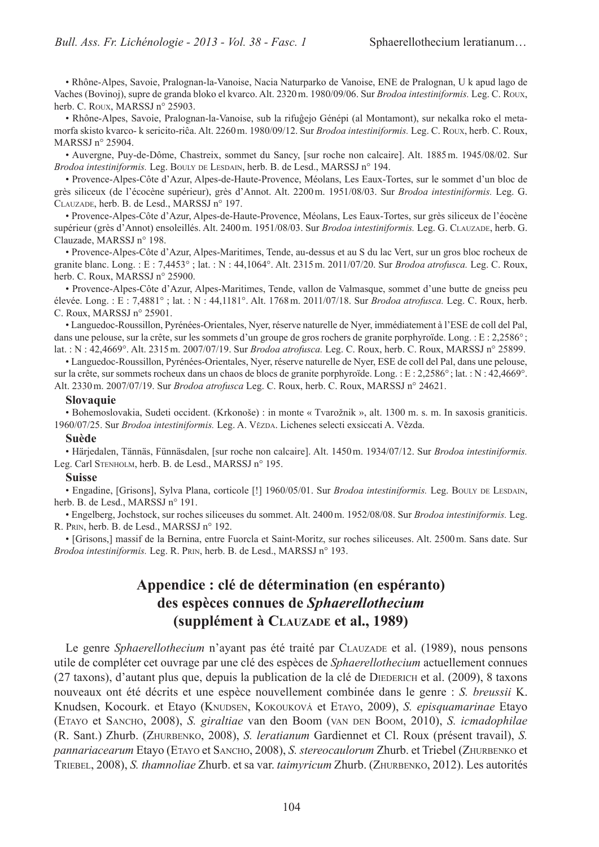• Rhône-Alpes, Savoie, Pralognan-la-Vanoise, Nacia Naturparko de Vanoise, ENE de Pralognan, U k apud lago de Vaches (Bovinoj), supre de granda bloko el kvarco. Alt. 2320 m. 1980/09/06. Sur Brodoa intestiniformis. Leg. C. Roux, herb. C. Roux, MARSSJ n° 25903.

• Rhône-Alpes, Savoie, Pralognan-la-Vanoise, sub la rifuĝejo Génépi (al Montamont), sur nekalka roko el metamorfa skisto kvarco- k sericito-riĉa. Alt. 2260 m. 1980/09/12. Sur Brodoa intestiniformis. Leg. C. Roux, herb. C. Roux, MARSSJ n° 25904.

• Auvergne, Puy-de-Dôme, Chastreix, sommet du Sancy, [sur roche non calcaire]. Alt. 1885 m. 1945/08/02. Sur Brodoa intestiniformis. Leg. BOULY DE LESDAIN, herb. B. de Lesd., MARSSJ n° 194.

• Provence-Alpes-Côte d'Azur, Alpes-de-Haute-Provence, Méolans, Les Eaux-Tortes, sur le sommet d'un bloc de grès siliceux (de l'écocène supérieur), grès d'Annot. Alt. 2200 m. 1951/08/03. Sur Brodoa intestiniformis. Leg. G. CLAUZADE, herb. B. de Lesd., MARSSJ n° 197.

• Provence-Alpes-Côte d'Azur, Alpes-de-Haute-Provence, Méolans, Les Eaux-Tortes, sur grès siliceux de l'éocène supérieur (grès d'Annot) ensoleillés. Alt. 2400 m. 1951/08/03. Sur Brodoa intestiniformis. Leg. G. CLAUZADE, herb. G. Clauzade, MARSSJ n° 198.

• Provence-Alpes-Côte d'Azur, Alpes-Maritimes, Tende, au-dessus et au S du lac Vert, sur un gros bloc rocheux de granite blanc. Long.: E: 7,4453°; lat.: N: 44,1064°. Alt. 2315 m. 2011/07/20. Sur *Brodoa atrofusca*. Leg. C. Roux, herb. C. Roux, MARSSJ n° 25900.

· Provence-Alpes-Côte d'Azur, Alpes-Maritimes, Tende, vallon de Valmasque, sommet d'une butte de gneiss peu élevée. Long. : E : 7,4881°; lat. : N : 44,1181°. Alt. 1768 m. 2011/07/18. Sur Brodoa atrofusca. Leg. C. Roux, herb. C. Roux, MARSSJ n° 25901.

• Languedoc-Roussillon, Pyrénées-Orientales, Nyer, réserve naturelle de Nyer, immédiatement à l'ESE de coll del Pal, dans une pelouse, sur la crête, sur les sommets d'un groupe de gros rochers de granite porphyroïde. Long. : E : 2,2586°; lat.: N: 42,4669°. Alt. 2315 m. 2007/07/19. Sur Brodoa atrofusca. Leg. C. Roux, herb. C. Roux, MARSSJ n° 25899.

• Languedoc-Roussillon, Pyrénées-Orientales, Nyer, réserve naturelle de Nyer, ESE de coll del Pal, dans une pelouse, sur la crête, sur sommets rocheux dans un chaos de blocs de granite porphyroïde. Long.: E: 2,2586°; lat.: N: 42,4669°. Alt. 2330 m. 2007/07/19. Sur Brodoa atrofusca Leg. C. Roux, herb. C. Roux, MARSSJ n° 24621.

#### **Slovaquie**

• Bohemoslovakia, Sudeti occident. (Krkonoše) : in monte « Tvarožnik », alt. 1300 m. s. m. In saxosis graniticis. 1960/07/25. Sur Brodoa intestiniformis. Leg. A. VězbA. Lichenes selecti exsiccati A. Vězda.

#### **Suède**

· Härjedalen, Tännäs, Fünnäsdalen, [sur roche non calcaire]. Alt. 1450 m. 1934/07/12. Sur Brodoa intestiniformis. Leg. Carl STENHOLM, herb. B. de Lesd., MARSSJ n° 195.

#### **Suisse**

• Engadine, [Grisons], Sylva Plana, corticole [!] 1960/05/01. Sur Brodoa intestiniformis. Leg. BOULY DE LESDAIN, herb. B. de Lesd., MARSSJ n° 191.

· Engelberg, Jochstock, sur roches siliceuses du sommet. Alt. 2400 m. 1952/08/08. Sur Brodoa intestiniformis. Leg. R. PRIN, herb. B. de Lesd., MARSSJ n° 192.

• [Grisons,] massif de la Bernina, entre Fuorcla et Saint-Moritz, sur roches siliceuses. Alt. 2500 m. Sans date. Sur Brodoa intestiniformis. Leg. R. PRIN, herb. B. de Lesd., MARSSJ n° 193.

# Appendice : clé de détermination (en espéranto) des espèces connues de Sphaerellothecium (supplément à CLAUZADE et al., 1989)

Le genre *Sphaerellothecium* n'ayant pas été traité par CLAUZADE et al. (1989), nous pensons utile de compléter cet ouvrage par une clé des espèces de *Sphaerellothecium* actuellement connues (27 taxons), d'autant plus que, depuis la publication de la clé de DIEDERICH et al. (2009), 8 taxons nouveaux ont été décrits et une espèce nouvellement combinée dans le genre : S. breussii K. Knudsen, Kocourk. et Etayo (KNUDSEN, KOKOUKOVÁ et ETAYO, 2009), S. episquamarinae Etayo (ETAYO et SANCHO, 2008), S. giraltiae van den Boom (VAN DEN BOOM, 2010), S. icmadophilae (R. Sant.) Zhurb. (ZHURBENKO, 2008), S. *leratianum* Gardiennet et Cl. Roux (présent travail), S. pannariacearum Etayo (ETAYO et SANCHO, 2008), S. stereocaulorum Zhurb. et Triebel (ZHURBENKO et TRIEBEL, 2008), S. thamnoliae Zhurb. et sa var. taimyricum Zhurb. (ZHURBENKO, 2012). Les autorités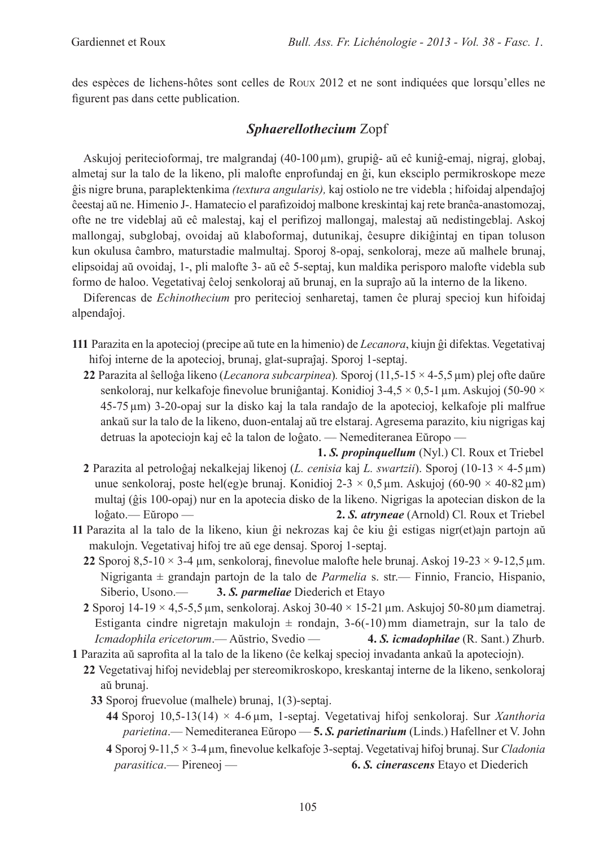des espèces de lichens-hôtes sont celles de Roux 2012 et ne sont indiquées que lorsqu'elles ne figurent pas dans cette publication.

# **Sphaerellothecium Zopf**

Askujoj peritecioformaj, tre malgrandaj (40-100 µm), grupiĝ- aŭ eĉ kuniĝ-emaj, nigraj, globaj, almetaj sur la talo de la likeno, pli malofte enprofundaj en ĝi, kun eksciplo permikroskope meze ĝis nigre bruna, paraplektenkima *(textura angularis)*, kaj ostiolo ne tre videbla; hifoidaj alpendaĵoj ĉeestaj aŭ ne. Himenio J-. Hamatecio el parafizoidoj malbone kreskintaj kaj rete branĉa-anastomozaj, ofte ne tre videblaj aŭ eĉ malestaj, kaj el perifizoj mallongaj, malestaj aŭ nedistingeblaj. Askoj mallongaj, subglobaj, ovoidaj aŭ klaboformaj, dutunikaj, ĉesupre dikiĝintaj en tipan toluson kun okulusa ĉambro, maturstadie malmultaj. Sporoj 8-opaj, senkoloraj, meze aŭ malhele brunaj, elipsoidai aŭ ovoidaj, 1-, pli malofte 3- aŭ eĉ 5-septaj, kun maldika perisporo malofte videbla sub formo de haloo. Vegetativaj ĉeloj senkoloraj aŭ brunaj, en la supraĵo aŭ la interno de la likeno.

Diferencas de *Echinothecium* pro peritecioj senharetaj, tamen ĉe pluraj specioj kun hifoidaj alpendaĵoj.

- 111 Parazita en la apotecioj (precipe aŭ tute en la himenio) de Lecanora, kiujn ĝi difektas. Vegetativaj hifoj interne de la apotecioj, brunaj, glat-supraĵaj. Sporoj 1-septaj.
	- 22 Parazita al ŝelloĝa likeno (Lecanora subcarpinea). Sporoj (11,5-15  $\times$  4-5,5 µm) plej ofte daŭre senkoloraj, nur kelkafoje finevolue bruniĝantaj. Konidioj 3-4,5  $\times$  0,5-1 µm. Askujoj (50-90  $\times$ 45-75 µm) 3-20-opaj sur la disko kaj la tala randaĵo de la apotecioj, kelkafoje pli malfrue ankaŭ sur la talo de la likeno, duon-entalaj aŭ tre elstaraj. Agresema parazito, kiu nigrigas kaj detruas la apoteciojn kaj eĉ la talon de loĝato. — Nemediteranea Eŭropo —
	- 1. S. *propinguellum* (Nyl.) Cl. Roux et Triebel 2 Parazita al petroloĝaj nekalkejaj likenoj (L. cenisia kaj L. swartzij). Sporoj (10-13  $\times$  4-5 µm) unue senkoloraj, poste hel(eg)e brunaj. Konidioj 2-3 × 0,5 µm. Askujoj (60-90 × 40-82 µm) multaj (ĝis 100-opaj) nur en la apotecia disko de la likeno. Nigrigas la apotecian diskon de la 2. S. atryneae (Arnold) Cl. Roux et Triebel loĝato.— Eŭropo —
- 11 Parazita al la talo de la likeno, kiun ĝi nekrozas kaj ĉe kiu ĝi estigas nigr(et)ajn partojn aŭ makulojn. Vegetativaj hifoj tre aŭ ege densaj. Sporoj 1-septaj.
	- 22 Sporoj 8,5-10  $\times$  3-4 µm, senkoloraj, finevolue malofte hele brunaj. Askoj 19-23  $\times$  9-12,5 µm. Nigriganta  $\pm$  grandajn partojn de la talo de *Parmelia* s. str.— Finnio, Francio, Hispanio, Siberio. Usono.-3. S. *parmeliae* Diederich et Etayo
	- 2 Sporoj 14-19 × 4,5-5,5 µm, senkoloraj. Askoj 30-40 × 15-21 µm. Askujoj 50-80 µm diametraj. Estiganta cindre nigretajn makulojn  $\pm$  rondajn, 3-6(-10) mm diametrajn, sur la talo de Icmadophila ericetorum. - Aŭstrio, Svedio -4. S. *icmadophilae* (R. Sant.) Zhurb.
- 1 Parazita aŭ saprofita al la talo de la likeno (ĉe kelkaj specioj invadanta ankaŭ la apoteciojn).
	- 22 Vegetativaj hifoj nevideblaj per stereomikroskopo, kreskantaj interne de la likeno, senkoloraj aŭ brunaj.
		- 33 Sporoj fruevolue (malhele) brunaj, 1(3)-septaj.
			- 44 Sporoj 10,5-13(14)  $\times$  4-6 µm, 1-septaj. Vegetativaj hifoj senkoloraj. Sur Xanthoria parietina. - Nemediteranea Eŭropo - 5. S. parietinarium (Linds.) Hafellner et V. John
			- 4 Sporoj 9-11,5  $\times$  3-4 µm, finevolue kelkafoje 3-septaj. Vegetativaj hifoj brunaj. Sur Cladonia  $parasitica$  - Pireneoj -6. S. cinerascens Etayo et Diederich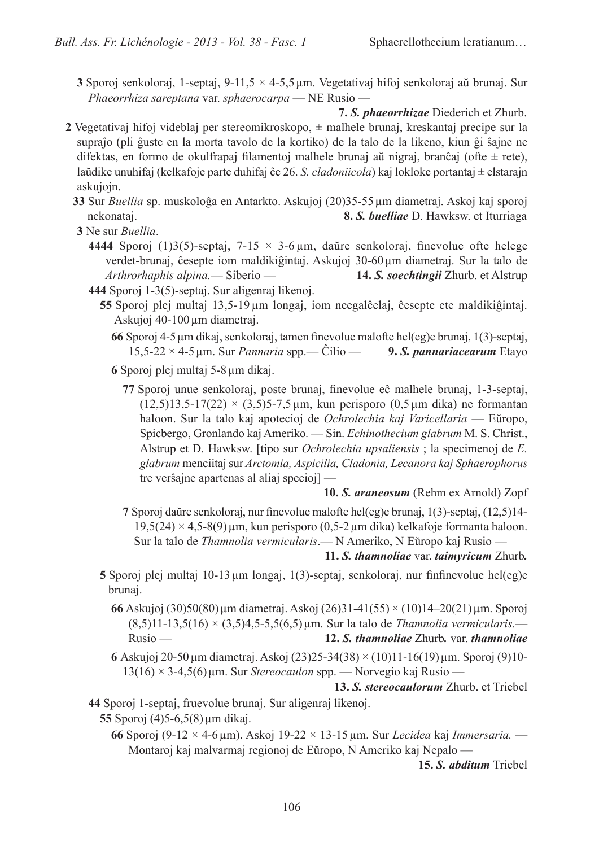- 3 Sporoj senkoloraj, 1-septaj, 9-11,5  $\times$  4-5,5 µm. Vegetativaj hifoj senkoloraj aŭ brunaj. Sur Phaeorrhiza sareptana var. sphaerocarpa — NE Rusio —
- 7. S. phaeorrhizae Diederich et Zhurb. 2 Vegetativaj hifoj videblaj per stereomikroskopo,  $\pm$  malhele brunaj, kreskantaj precipe sur la supraĵo (pli ĝuste en la morta tavolo de la kortiko) de la talo de la likeno, kiun ĝi ŝajne ne difektas, en formo de okulfrapaj filamentoj malhele brunaj aŭ nigraj, branĉaj (ofte  $\pm$  rete),

laŭdike unuhifaj (kelkafoje parte duhifaj ĉe 26. S. *cladoniicola*) kaj lokloke portantaj ± elstarajn askujojn.

- 33 Sur Buellia sp. muskoloĝa en Antarkto. Askujoj (20)35-55 µm diametraj. Askoj kaj sporoj 8. S. buelliae D. Hawksw. et Iturriaga nekonataj.
- 3 Ne sur Buellia.
	- 4444 Sporoj (1)3(5)-septaj, 7-15  $\times$  3-6 µm, daŭre senkoloraj, finevolue ofte helege verdet-brunaj, ĉesepte iom maldikiĝintaj. Askujoj 30-60 µm diametraj. Sur la talo de Arthrorhaphis alpina. - Siberio -14. S. soechtingii Zhurb. et Alstrup
	- 444 Sporoj 1-3(5)-septaj. Sur aligenraj likenoj.
		- 55 Sporoj plej multaj 13,5-19 µm longaj, iom neegalĉelaj, ĉesepte ete maldikiĝintaj. Askujoj 40-100 µm diametraj.
			- 66 Sporoj 4-5 µm dikaj, senkoloraj, tamen finevolue malofte hel(eg)e brunaj, 1(3)-septaj,  $15,5-22 \times 4-5$  µm. Sur *Pannaria* spp.— Ĉilio — 9. S. pannariacearum Etayo

6 Sporoj plej multaj 5-8 um dikaj.

77 Sporoj unue senkoloraj, poste brunaj, finevolue eĉ malhele brunaj, 1-3-septaj,  $(12.5)13.5-17(22) \times (3.5)5-7.5 \,\text{µm}$ , kun perisporo  $(0.5 \,\text{µm}$  dika) ne formantan haloon. Sur la talo kaj apotecioj de Ochrolechia kaj Varicellaria — Eŭropo, Spicbergo, Gronlando kaj Ameriko. — Sin. Echinothecium glabrum M. S. Christ., Alstrup et D. Hawksw. [tipo sur *Ochrolechia upsaliensis*; la specimenoj de E. glabrum menciitaj sur Arctomia, Aspicilia, Cladonia, Lecanora kaj Sphaerophorus tre verŝajne apartenas al aliaj specioj $]-$ 

10. S. araneosum (Rehm ex Arnold) Zopf

7 Sporoj daŭre senkoloraj, nur finevolue malofte hel(eg)e brunaj, 1(3)-septaj, (12,5)14- $19,5(24) \times 4,5-8(9)$ µm, kun perisporo (0,5-2µm dika) kelkafoje formanta haloon. Sur la talo de Thamnolia vermicularis. - N Ameriko, N Eŭropo kaj Rusio -

11. S. thamnoliae var. taimyricum Zhurb.

- 5 Sporoj plej multaj 10-13  $\mu$ m longaj, 1(3)-septaj, senkoloraj, nur finfinevolue hel $(eg)e$ brunai.
	- 66 Askujoj (30)50(80) µm diametraj. Askoj (26)31-41(55) × (10)14-20(21) µm. Sporoj  $(8,5)11-13,5(16) \times (3,5)4,5-5,5(6,5) \,\mu m$ . Sur la talo de Thamnolia vermicularis. 12. S. thamnoliae Zhurb. var. thamnoliae  $Rusio$  —
	- 6 Askujoj 20-50 µm diametraj. Askoj (23)25-34(38) × (10)11-16(19) µm. Sporoj (9)10- $13(16) \times 3-4,5(6)$  µm. Sur Stereocaulon spp. — Norvegio kaj Rusio —

13. S. stereocaulorum Zhurb. et Triebel

44 Sporoj 1-septaj, fruevolue brunaj. Sur aligenraj likenoj. 55 Sporoj  $(4)5-6,5(8)$  µm dikaj.

66 Sporoj (9-12 × 4-6 µm). Askoj 19-22 × 13-15 µm. Sur Lecidea kaj Immersaria.  $-$ Montaroj kaj malvarmaj regionoj de Eŭropo, N Ameriko kaj Nepalo —

15. S. *abditum* Triebel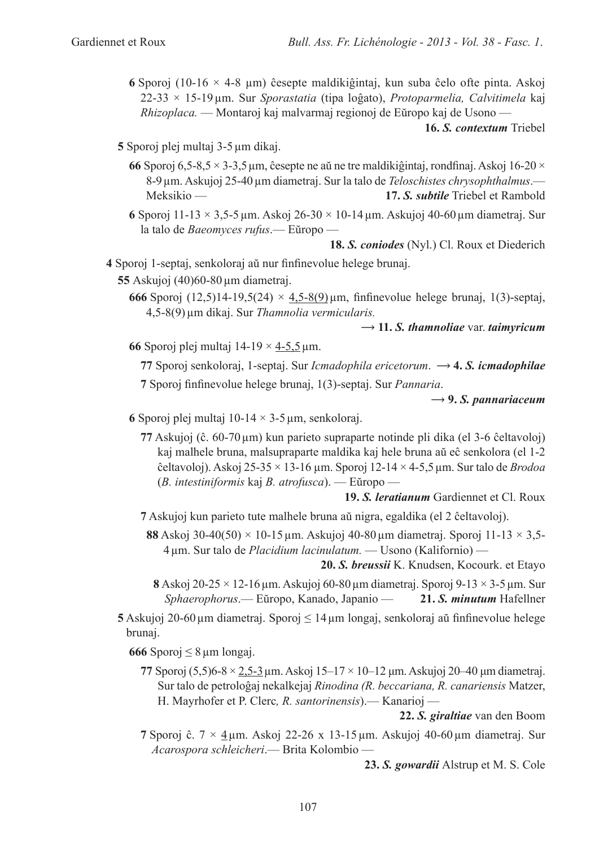6 Sporoj (10-16  $\times$  4-8 µm) ĉesepte maldikiĝintaj, kun suba ĉelo ofte pinta. Askoj  $22-33 \times 15-19$ um. Sur Sporastatia (tipa loĝato), Protoparmelia, Calvitimela kaj Rhizoplaca. — Montaroj kaj malvarmaj regionoj de Eŭropo kaj de Usono —

16. S. contextum Triebel

5 Sporoj plej multaj 3-5 µm dikaj.

- 66 Sporoj 6.5-8.5  $\times$  3-3.5 µm, ĉesepte ne aŭ ne tre maldikiĝintaj, rondfinaj. Askoj 16-20  $\times$ 8-9 µm. Askujoj 25-40 µm diametraj. Sur la talo de Teloschistes chrysophthalmus.— Meksikio-17. S. subtile Triebel et Rambold
- 6 Sporoj 11-13  $\times$  3.5-5 µm. Askoj 26-30  $\times$  10-14 µm. Askujoj 40-60 µm diametraj. Sur la talo de Baeomyces rufus. - Eŭropo -

**18. S. conjodes** (Nyl.) Cl. Roux et Diederich

4 Sporoj 1-septaj, senkoloraj aŭ nur finfinevolue helege brunaj.

55 Askujoj  $(40)60-80 \mu m$  diametraj.

666 Sporoj (12,5)14-19,5(24) ×  $4,5-8(9)$  µm, finfinevolue helege brunaj, 1(3)-septaj, 4,5-8(9) µm dikaj. Sur Thamnolia vermicularis.

### $\rightarrow$  11. S. thamnoliae var. taimyricum

66 Sporoj plej multaj  $14-19 \times 4-5.5 \,\mu \text{m}$ .

77 Sporoj senkoloraj, 1-septaj. Sur Icmadophila ericetorum.  $\rightarrow$  4. S. icmadophilae 7 Sporoj finfinevolue helege brunaj, 1(3)-septaj. Sur Pannaria.

 $\rightarrow$  9. S. pannariaceum

- 6 Sporoj plej multaj 10-14  $\times$  3-5 µm, senkoloraj.
	- 77 Askujoj (ĉ. 60-70 µm) kun parieto supraparte notinde pli dika (el 3-6 ĉeltavoloj) kaj malhele bruna, malsupraparte maldika kaj hele bruna aŭ eĉ senkolora (el 1-2 ĉeltavoloj). Askoj 25-35  $\times$  13-16 µm. Sporoj 12-14  $\times$  4-5,5 µm. Sur talo de *Brodoa*  $(B.$  intestiniformis kaj B. atrofusca). — Eŭropo —

19. S. *leratianum* Gardiennet et Cl. Roux

7 Askujoj kun parieto tute malhele bruna aŭ nigra, egaldika (el 2 ĉeltavoloj).

**88** Askoj 30-40(50)  $\times$  10-15 µm. Askujoj 40-80 µm diametraj. Sporoj 11-13  $\times$  3.5-4 um. Sur talo de *Placidium lacinulatum*. — Usono (Kalifornio) —

20. S. breussii K. Knudsen, Kocourk. et Etayo

- 8 Askoj 20-25  $\times$  12-16 µm. Askujoj 60-80 µm diametraj. Sporoj 9-13  $\times$  3-5 µm. Sur Sphaerophorus.— Eŭropo, Kanado, Japanio — 21. S. *minutum* Hafellner
- 5 Askujoj 20-60 µm diametraj. Sporoj  $\leq 14$  µm longaj, senkoloraj aŭ finfinevolue helege brunai.

666 Sporoj  $\leq 8 \,\mu m$  longaj.

77 Sporoj (5,5)6-8  $\times$  2,5-3 µm, Askoj 15-17  $\times$  10-12 µm, Askujoj 20-40 µm diametraj. Sur talo de petroloĝaj nekalkejaj Rinodina (R. beccariana, R. canariensis Matzer, H. Mayrhofer et P. Clerc, R. santorinensis). - Kanarioj -

22. S. giraltiae van den Boom

7 Sporoj ĉ.  $7 \times 4 \mu$ m. Askoj 22-26 x 13-15  $\mu$ m. Askujoj 40-60  $\mu$ m diametraj. Sur Acarospora schleicheri. - Brita Kolombio -

23. S. gowardii Alstrup et M. S. Cole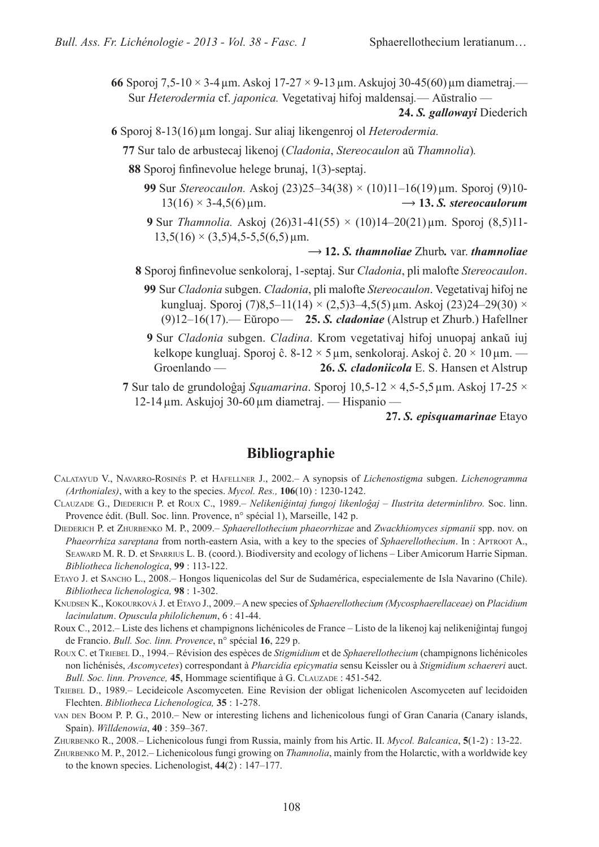66 Sporoj 7.5-10  $\times$  3-4 µm, Askoj 17-27  $\times$  9-13 µm, Askujoj 30-45(60) µm diametraj.— Sur Heterodermia cf. japonica. Vegetativaj hifoj maldensaj. — Aŭstralio —

24. S. *gallowayi* Diederich

- 6 Sporoj 8-13(16) µm longaj. Sur aliaj likengenroj ol Heterodermia.
	- 77 Sur talo de arbustecaj likenoj (Cladonia, Stereocaulon aŭ Thamnolia).
	- 88 Sporoj finfinevolue helege brunaj, 1(3)-septaj.
		- 99 Sur Stereocaulon. Askoj (23)25-34(38) × (10)11-16(19) µm. Sporoj (9)10- $13(16) \times 3-4,5(6) \,\mu \text{m}$ .  $\rightarrow$  13. S. stereocaulorum
		- 9 Sur Thamnolia. Askoj (26)31-41(55) × (10)14-20(21) µm. Sporoj (8,5)11- $13,5(16) \times (3,5)4,5-5,5(6,5)$  µm.

#### $\rightarrow$  12. S. thampoliae Zhurb. var. thampoliae

- 8 Sporoj finfinevolue senkoloraj, 1-septaj. Sur Cladonia, pli malofte Stereocaulon.
	- 99 Sur Cladonia subgen. Cladonia, pli malofte Stereocaulon. Vegetativaj hifoj ne kungluaj. Sporoj (7)8,5–11(14) × (2,5)3–4,5(5) µm. Askoj (23)24–29(30) ×  $(9)12-16(17)$ . Eŭropo - 25. S. *cladoniae* (Alstrup et Zhurb.) Hafellner
	- 9 Sur Cladonia subgen. Cladina. Krom vegetativaj hifoj unuopaj ankaŭ iuj kelkope kungluaj. Sporoj ĉ. 8-12  $\times$  5 µm, senkoloraj. Askoj ĉ. 20  $\times$  10 µm. — Groenlando -26. S. cladoniicola E. S. Hansen et Alstrup
- 7 Sur talo de grundoloĝaj Squamarina. Sporoj  $10,5$ -12  $\times$  4,5-5,5 µm. Askoj 17-25  $\times$ 12-14 µm. Askujoj 30-60 µm diametraj. — Hispanio —

27. S. episquamarinae Etayo

### **Bibliographie**

- CALATAYUD V., NAVARRO-ROSINÉS P. et HAFELLNER J., 2002. A synopsis of Lichenostigma subgen. Lichenogramma (Arthoniales), with a key to the species. Mycol. Res.,  $106(10)$ : 1230-1242.
- CLAUZADE G., DIEDERICH P. et ROUX C., 1989. Nelikeniĝintaj fungoj likenloĝaj Ilustrita determinlibro. Soc. linn. Provence édit. (Bull. Soc. linn. Provence, n° spécial 1), Marseille, 142 p.
- DIEDERICH P. et ZHURBENKO M. P., 2009. Sphaerellothecium phaeorrhizae and Zwackhiomyces sipmanii spp. nov. on Phaeorrhiza sareptana from north-eastern Asia, with a key to the species of Sphaerellothecium. In : APTROOT A., SEAWARD M. R. D. et SPARRIUS L. B. (coord.). Biodiversity and ecology of lichens – Liber Amicorum Harrie Sipman. Bibliotheca lichenologica, 99 : 113-122.
- ETAYO J. et SANCHO L., 2008. Hongos liquenicolas del Sur de Sudamérica, especialemente de Isla Navarino (Chile). Bibliotheca lichenologica, 98 : 1-302.
- KNUDSEN K., KOKOURKOVÁ J. et ETAYO J., 2009.— A new species of Sphaerellothecium (Mycosphaerellaceae) on Placidium lacinulatum. Opuscula philolichenum, 6:41-44.
- Roux C., 2012.– Liste des lichens et champignons lichénicoles de France Listo de la likenoj kaj nelikeniĝintaj fungoj de Francio. Bull. Soc. linn. Provence, n° spécial 16, 229 p.
- ROUX C. et TRIEBEL D., 1994. Révision des espèces de Stigmidium et de Sphaerellothecium (champignons lichénicoles non lichénisés, Ascomycetes) correspondant à Pharcidia epicymatia sensu Keissler ou à Stigmidium schaereri auct. Bull. Soc. linn. Provence, 45, Hommage scientifique à G. CLAUZADE : 451-542.
- TRIEBEL D., 1989. Lecideicole Ascomyceten. Eine Revision der obligat lichenicolen Ascomyceten auf lecidoiden Flechten. Bibliotheca Lichenologica, 35 : 1-278.
- VAN DEN BOOM P. P. G., 2010. New or interesting lichens and lichenicolous fungi of Gran Canaria (Canary islands, Spain). Willdenowia, 40:359-367.
- ZHURBENKO R., 2008.– Lichenicolous fungi from Russia, mainly from his Artic. II. *Mycol. Balcanica*, 5(1-2): 13-22.
- ZHURBENKO M. P., 2012. Lichenicolous fungi growing on *Thamnolia*, mainly from the Holarctic, with a worldwide key to the known species. Lichenologist,  $44(2)$ : 147–177.